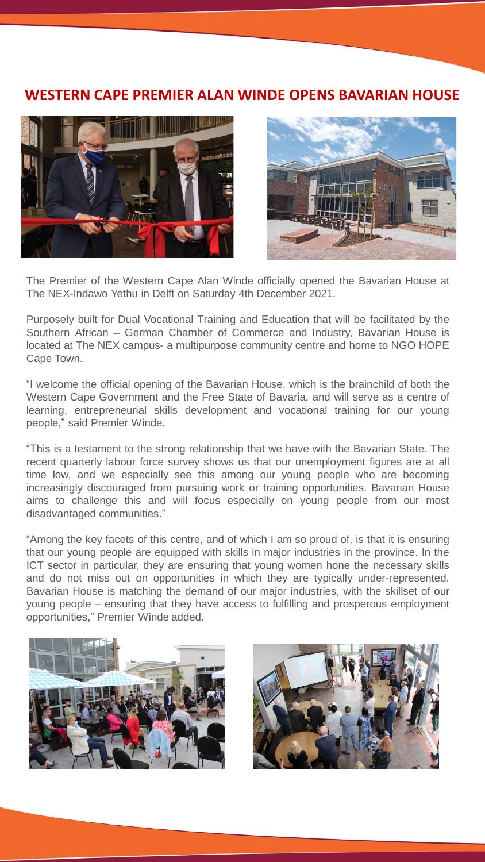## **WESTERN CAPE PREMIER ALAN WINDE OPENS BAVARIAN HOUSE**





The Premier of the Western Cape Alan Winde officially opened the Bavarian House at The NEX-Indawo Yethu in Delft on Saturday 4th December 2021.

Purposely built for Dual Vocational Training and Education that will be facilitated by the Southern African – German Chamber of Commerce and Industry, Bavarian House is located at The NEX campus- a multipurpose community centre and home to NGO HOPE Cape Town.

"I welcome the official opening of the Bavarian House, which is the brainchild of both the Western Cape Government and the Free State of Bavaria, and will serve as a centre of learning, entrepreneurial skills development and vocational training for our young people," said Premier Winde.

"This is a testament to the strong relationship that we have with the Bavarian State. The recent quarterly labour force survey shows us that our unemployment figures are at all time low, and we especially see this among our young people who are becoming increasingly discouraged from pursuing work or training opportunities. Bavarian House aims to challenge this and will focus especially on young people from our most disadvantaged communities."

"Among the key facets of this centre, and of which I am so proud of, is that it is ensuring that our young people are equipped with skills in major industries in the province. In the ICT sector in particular, they are ensuring that young women hone the necessary skills and do not miss out on opportunities in which they are typically under-represented. Bavarian House is matching the demand of our major industries, with the skillset of our young people – ensuring that they have access to fulfilling and prosperous employment opportunities," Premier Winde added.



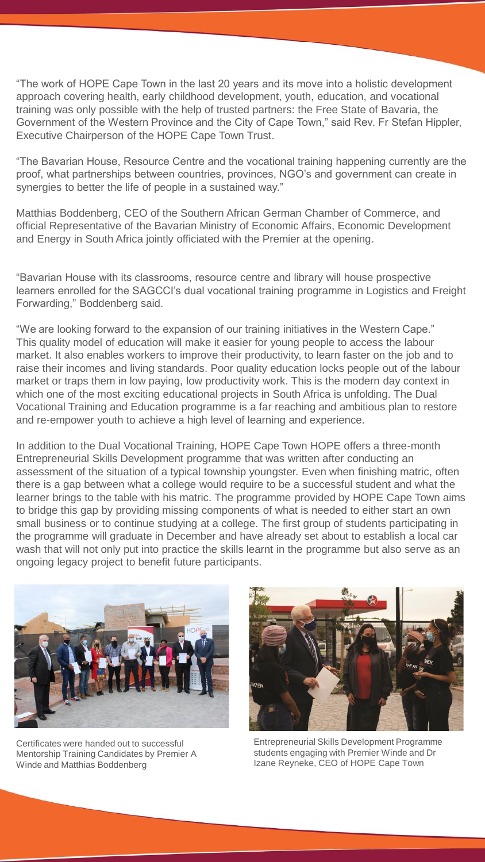"The work of HOPE Cape Town in the last 20 years and its move into a holistic development approach covering health, early childhood development, youth, education, and vocational training was only possible with the help of trusted partners: the Free State of Bavaria, the Government of the Western Province and the City of Cape Town," said Rev. Fr Stefan Hippler, Executive Chairperson of the HOPE Cape Town Trust.

"The Bavarian House, Resource Centre and the vocational training happening currently are the proof, what partnerships between countries, provinces, NGO's and government can create in synergies to better the life of people in a sustained way."

Matthias Boddenberg, CEO of the Southern African German Chamber of Commerce, and official Representative of the Bavarian Ministry of Economic Affairs, Economic Development and Energy in South Africa jointly officiated with the Premier at the opening.

"Bavarian House with its classrooms, resource centre and library will house prospective learners enrolled for the SAGCCI's dual vocational training programme in Logistics and Freight Forwarding," Boddenberg said.

"We are looking forward to the expansion of our training initiatives in the Western Cape." This quality model of education will make it easier for young people to access the labour market. It also enables workers to improve their productivity, to learn faster on the job and to raise their incomes and living standards. Poor quality education locks people out of the labour market or traps them in low paying, low productivity work. This is the modern day context in which one of the most exciting educational projects in South Africa is unfolding. The Dual Vocational Training and Education programme is a far reaching and ambitious plan to restore and re-empower youth to achieve a high level of learning and experience.

In addition to the Dual Vocational Training, HOPE Cape Town HOPE offers a three-month Entrepreneurial Skills Development programme that was written after conducting an assessment of the situation of a typical township youngster. Even when finishing matric, often there is a gap between what a college would require to be a successful student and what the learner brings to the table with his matric. The programme provided by HOPE Cape Town aims to bridge this gap by providing missing components of what is needed to either start an own small business or to continue studying at a college. The first group of students participating in the programme will graduate in December and have already set about to establish a local car wash that will not only put into practice the skills learnt in the programme but also serve as an ongoing legacy project to benefit future participants.



Certificates were handed out to successful Mentorship Training Candidates by Premier A Winde and Matthias Boddenberg



Entrepreneurial Skills Development Programme students engaging with Premier Winde and Dr Izane Reyneke, CEO of HOPE Cape Town